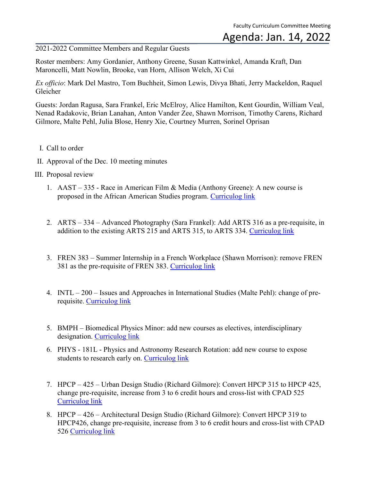2021-2022 Committee Members and Regular Guests

Roster members: Amy Gordanier, Anthony Greene, Susan Kattwinkel, Amanda Kraft, Dan Maroncelli, Matt Nowlin, Brooke, van Horn, Allison Welch, Xi Cui

*Ex officio*: Mark Del Mastro, Tom Buchheit, Simon Lewis, Divya Bhati, Jerry Mackeldon, Raquel Gleicher

Guests: Jordan Ragusa, Sara Frankel, Eric McElroy, Alice Hamilton, Kent Gourdin, William Veal, Nenad Radakovic, Brian Lanahan, Anton Vander Zee, Shawn Morrison, Timothy Carens, Richard Gilmore, Malte Pehl, Julia Blose, Henry Xie, Courtney Murren, Sorinel Oprisan

- I. Call to order
- II. Approval of the Dec. 10 meeting minutes
- III. Proposal review
	- 1. AAST 335 Race in American Film & Media (Anthony Greene): A new course is proposed in the African American Studies program. [Curriculog link](https://cofc.curriculog.com/proposal:3573/form)
	- 2. ARTS 334 Advanced Photography (Sara Frankel): Add ARTS 316 as a pre-requisite, in addition to the existing ARTS 215 and ARTS 315, to ARTS 334. [Curriculog link](https://cofc.curriculog.com/proposal:3653/form)
	- 3. FREN 383 Summer Internship in a French Workplace (Shawn Morrison): remove FREN 381 as the pre-requisite of FREN 383. [Curriculog link](https://cofc.curriculog.com/proposal:3722/form)
	- 4. INTL 200 Issues and Approaches in International Studies (Malte Pehl): change of prerequisite. [Curriculog link](https://cofc.curriculog.com/proposal:3692/form)
	- 5. BMPH Biomedical Physics Minor: add new courses as electives, interdisciplinary designation. [Curriculog link](https://cofc.curriculog.com/proposal:3702/form)
	- 6. PHYS 181L Physics and Astronomy Research Rotation: add new course to expose students to research early on. [Curriculog link](https://cofc.curriculog.com/proposal:3743/form)
	- 7. HPCP 425 Urban Design Studio (Richard Gilmore): Convert HPCP 315 to HPCP 425, change pre-requisite, increase from 3 to 6 credit hours and cross-list with CPAD 525 [Curriculog link](https://cofc.curriculog.com/proposal:3624/form)
	- 8. HPCP 426 Architectural Design Studio (Richard Gilmore): Convert HPCP 319 to HPCP426, change pre-requisite, increase from 3 to 6 credit hours and cross-list with CPAD 526 [Curriculog link](https://cofc.curriculog.com/proposal:3563/form)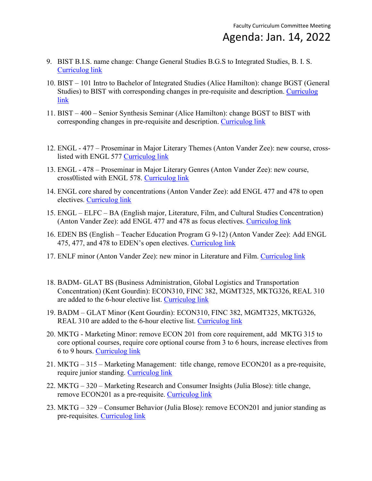- 9. BIST B.I.S. name change: Change General Studies B.G.S to Integrated Studies, B. I. S. [Curriculog link](https://cofc.curriculog.com/proposal:3599/form)
- 10. BIST 101 Intro to Bachelor of Integrated Studies (Alice Hamilton): change BGST (General Studies) to BIST with corresponding changes in pre-requisite and description. [Curriculog](https://cofc.curriculog.com/proposal:3611/form)  [link](https://cofc.curriculog.com/proposal:3611/form)
- 11. BIST 400 Senior Synthesis Seminar (Alice Hamilton): change BGST to BIST with corresponding changes in pre-requisite and description. [Curriculog link](https://cofc.curriculog.com/proposal:3611/form)
- 12. ENGL 477 Proseminar in Major Literary Themes (Anton Vander Zee): new course, crosslisted with ENGL 577 [Curriculog link](https://cofc.curriculog.com/proposal:3462/form)
- 13. ENGL 478 Proseminar in Major Literary Genres (Anton Vander Zee): new course, cross0listed with ENGL 578. [Curriculog link](https://cofc.curriculog.com/proposal:3535/form)
- 14. ENGL core shared by concentrations (Anton Vander Zee): add ENGL 477 and 478 to open electives. [Curriculog link](https://cofc.curriculog.com/proposal:3581/form)
- 15. ENGL ELFC BA (English major, Literature, Film, and Cultural Studies Concentration) (Anton Vander Zee): add ENGL 477 and 478 as focus electives. [Curriculog link](https://cofc.curriculog.com/proposal:3473/form)
- 16. EDEN BS (English Teacher Education Program G 9-12) (Anton Vander Zee): Add ENGL 475, 477, and 478 to EDEN's open electives. [Curriculog link](https://cofc.curriculog.com/proposal:3582/form)
- 17. ENLF minor (Anton Vander Zee): new minor in Literature and Film. [Curriculog link](https://cofc.curriculog.com/proposal:3585/form)
- 18. BADM- GLAT BS (Business Administration, Global Logistics and Transportation Concentration) (Kent Gourdin): ECON310, FINC 382, MGMT325, MKTG326, REAL 310 are added to the 6-hour elective list. [Curriculog link](https://cofc.curriculog.com/proposal:3637/form)
- 19. BADM GLAT Minor (Kent Gourdin): ECON310, FINC 382, MGMT325, MKTG326, REAL 310 are added to the 6-hour elective list. [Curriculog link](https://cofc.curriculog.com/proposal:3622/form)
- 20. MKTG Marketing Minor: remove ECON 201 from core requirement, add MKTG 315 to core optional courses, require core optional course from 3 to 6 hours, increase electives from 6 to 9 hours. [Curriculog link](https://cofc.curriculog.com/proposal:3464/form)
- 21. MKTG 315 Marketing Management: title change, remove ECON201 as a pre-requisite, require junior standing. [Curriculog link](https://cofc.curriculog.com/proposal:3445/form)
- 22. MKTG 320 Marketing Research and Consumer Insights (Julia Blose): title change, remove ECON201 as a pre-requisite. [Curriculog link](https://cofc.curriculog.com/proposal:3555/form)
- 23. MKTG 329 Consumer Behavior (Julia Blose): remove ECON201 and junior standing as pre-requisites. [Curriculog link](https://cofc.curriculog.com/proposal:3556/form)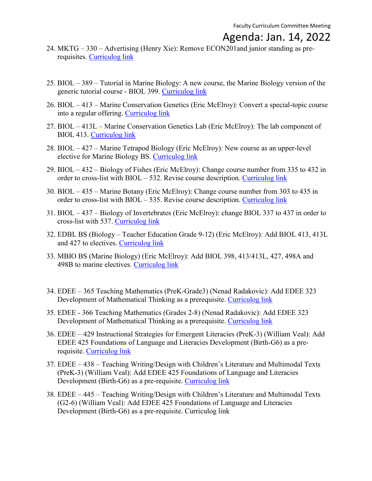- 24. MKTG 330 Advertising (Henry Xie): Remove ECON201and junior standing as prerequisites. [Curriculog link](https://cofc.curriculog.com/proposal:3465/form)
- 25. BIOL 389 Tutorial in Marine Biology: A new course, the Marine Biology version of the generic tutorial course - BIOL 399. [Curriculog](https://cofc.curriculog.com/proposal:3723/form) link
- 26. BIOL 413 Marine Conservation Genetics (Eric McElroy): Convert a special-topic course into a regular offering. [Curriculog link](https://cofc.curriculog.com/proposal:3671/form)
- 27. BIOL 413L Marine Conservation Genetics Lab (Eric McElroy): The lab component of BIOL 413. [Curriculog link](https://cofc.curriculog.com/proposal:3672/form)
- 28. BIOL 427 Marine Tetrapod Biology (Eric McElroy): New course as an upper-level elective for Marine Biology BS. [Curriculog link](https://cofc.curriculog.com/proposal:3666/form)
- 29. BIOL 432 Biology of Fishes (Eric McElroy): Change course number from 335 to 432 in order to cross-list with BIOL – 532. Revise course description. [Curriculog link](https://cofc.curriculog.com/proposal:3638/form)
- 30. BIOL 435 Marine Botany (Eric McElroy): Change course number from 303 to 435 in order to cross-list with BIOL – 535. Revise course description. [Curriculog link](https://cofc.curriculog.com/proposal:3639/form)
- 31. BIOL 437 Biology of Invertebrates (Eric McElroy): change BIOL 337 to 437 in order to cross-list with 537. [Curriculog link](https://cofc.curriculog.com/proposal:3634/form)
- 32. EDBL BS (Biology Teacher Education Grade 9-12) (Eric McElroy): Add BIOL 413, 413L and 427 to electives. [Curriculog link](https://cofc.curriculog.com/proposal:3687/form)
- 33. MBIO BS (Marine Biology) (Eric McElroy): Add BIOL 398, 413/413L, 427, 498A and 498B to marine electives. [Curriculog link](https://cofc.curriculog.com/proposal:3667/form)
- 34. EDEE 365 Teaching Mathematics (PreK-Grade3) (Nenad Radakovic): Add EDEE 323 Development of Mathematical Thinking as a prerequisite. [Curriculog link](https://cofc.curriculog.com/proposal:3717/form)
- 35. EDEE 366 Teaching Mathematics (Grades 2-8) (Nenad Radakovic): Add EDEE 323 Development of Mathematical Thinking as a prerequisite. [Curriculog link](https://cofc.curriculog.com/proposal:3707/form)
- 36. EDEE 429 Instructional Strategies for Emergent Literacies (PreK-3) (William Veal): Add EDEE 425 Foundations of Language and Literacies Development (Birth-G6) as a prerequisite. [Curriculog link](https://cofc.curriculog.com/proposal:3705/form)
- 37. EDEE 438 Teaching Writing/Design with Children's Literature and Multimodal Texts (PreK-3) (William Veal): Add EDEE 425 Foundations of Language and Literacies Development (Birth-G6) as a pre-requisite. [Curriculog link](https://cofc.curriculog.com/proposal:3708/form)
- 38. EDEE 445 Teaching Writing/Design with Children's Literature and Multimodal Texts (G2-6) (William Veal): Add EDEE 425 Foundations of Language and Literacies Development (Birth-G6) as a pre-requisite. Curriculog link